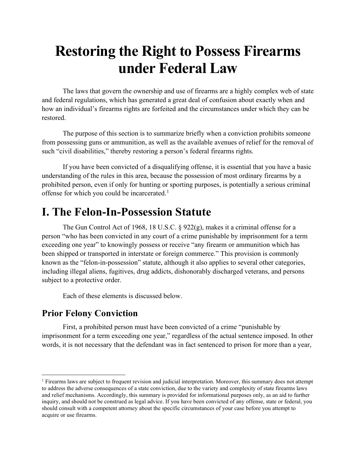# **Restoring the Right to Possess Firearms under Federal Law**

The laws that govern the ownership and use of firearms are a highly complex web of state and federal regulations, which has generated a great deal of confusion about exactly when and how an individual's firearms rights are forfeited and the circumstances under which they can be restored.

The purpose of this section is to summarize briefly when a conviction prohibits someone from possessing guns or ammunition, as well as the available avenues of relief for the removal of such "civil disabilities," thereby restoring a person's federal firearms rights.

If you have been convicted of a disqualifying offense, it is essential that you have a basic understanding of the rules in this area, because the possession of most ordinary firearms by a prohibited person, even if only for hunting or sporting purposes, is potentially a serious criminal offense for which you could be incarcerated.<sup>[1](#page-0-0)</sup>

# **I. The Felon-In-Possession Statute**

The Gun Control Act of 1968, 18 U.S.C.  $\S 922(g)$ , makes it a criminal offense for a person "who has been convicted in any court of a crime punishable by imprisonment for a term exceeding one year" to knowingly possess or receive "any firearm or ammunition which has been shipped or transported in interstate or foreign commerce." This provision is commonly known as the "felon-in-possession" statute, although it also applies to several other categories, including illegal aliens, fugitives, drug addicts, dishonorably discharged veterans, and persons subject to a protective order.

Each of these elements is discussed below.

## **Prior Felony Conviction**

First, a prohibited person must have been convicted of a crime "punishable by imprisonment for a term exceeding one year," regardless of the actual sentence imposed. In other words, it is not necessary that the defendant was in fact sentenced to prison for more than a year,

<span id="page-0-0"></span> $<sup>1</sup>$  Firearms laws are subject to frequent revision and judicial interpretation. Moreover, this summary does not attempt</sup> to address the adverse consequences of a state conviction, due to the variety and complexity of state firearms laws and relief mechanisms. Accordingly, this summary is provided for informational purposes only, as an aid to further inquiry, and should not be construed as legal advice. If you have been convicted of any offense, state or federal, you should consult with a competent attorney about the specific circumstances of your case before you attempt to acquire or use firearms.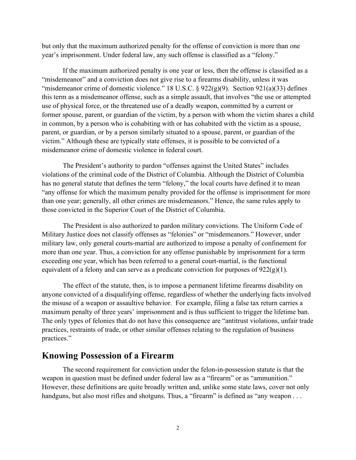but only that the maximum authorized penalty for the offense of conviction is more than one year's imprisonment. Under federal law, any such offense is classified as a "felony."

If the maximum authorized penalty is one year or less, then the offense is classified as a "misdemeanor" and a conviction does not give rise to a firearms disability, unless it was "misdemeanor crime of domestic violence." 18 U.S.C.  $\S$  922(g)(9). Section 921(a)(33) defines this term as a misdemeanor offense, such as a simple assault, that involves "the use or attempted use of physical force, or the threatened use of a deadly weapon, committed by a current or former spouse, parent, or guardian of the victim, by a person with whom the victim shares a child in common, by a person who is cohabiting with or has cohabited with the victim as a spouse, parent, or guardian, or by a person similarly situated to a spouse, parent, or guardian of the victim." Although these are typically state offenses, it is possible to be convicted of a misdemeanor crime of domestic violence in federal court.

The President's authority to pardon "offenses against the United States" includes violations of the criminal code of the District of Columbia. Although the District of Columbia has no general statute that defines the term "felony," the local courts have defined it to mean "any offense for which the maximum penalty provided for the offense is imprisonment for more than one year; generally, all other crimes are misdemeanors." Hence, the same rules apply to those convicted in the Superior Court of the District of Columbia.

The President is also authorized to pardon military convictions. The Uniform Code of Military Justice does not classify offenses as "felonies" or "misdemeanors." However, under military law, only general courts-martial are authorized to impose a penalty of confinement for more than one year. Thus, a conviction for any offense punishable by imprisonment for a term exceeding one year, which has been referred to a general court-martial, is the functional equivalent of a felony and can serve as a predicate conviction for purposes of  $922(g)(1)$ .

The effect of the statute, then, is to impose a permanent lifetime firearms disability on anyone convicted of a disqualifying offense, regardless of whether the underlying facts involved the misuse of a weapon or assaultive behavior. For example, filing a false tax return carries a maximum penalty of three years' imprisonment and is thus sufficient to trigger the lifetime ban. The only types of felonies that do not have this consequence are "antitrust violations, unfair trade practices, restraints of trade, or other similar offenses relating to the regulation of business practices."

#### **Knowing Possession of a Firearm**

The second requirement for conviction under the felon-in-possession statute is that the weapon in question must be defined under federal law as a "firearm" or as "ammunition." However, these definitions are quite broadly written and, unlike some state laws, cover not only handguns, but also most rifles and shotguns. Thus, a "firearm" is defined as "any weapon . . .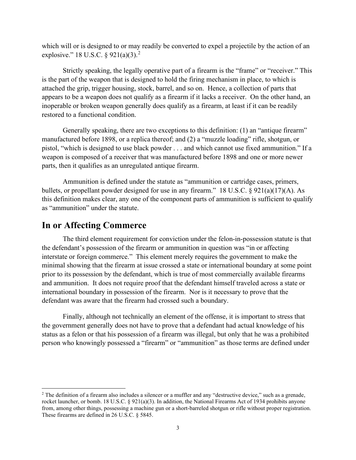which will or is designed to or may readily be converted to expel a projectile by the action of an explosive." 18 U.S.C. § 9[2](#page-2-0)1(a)(3).<sup>2</sup>

Strictly speaking, the legally operative part of a firearm is the "frame" or "receiver." This is the part of the weapon that is designed to hold the firing mechanism in place, to which is attached the grip, trigger housing, stock, barrel, and so on. Hence, a collection of parts that appears to be a weapon does not qualify as a firearm if it lacks a receiver. On the other hand, an inoperable or broken weapon generally does qualify as a firearm, at least if it can be readily restored to a functional condition.

Generally speaking, there are two exceptions to this definition: (1) an "antique firearm" manufactured before 1898, or a replica thereof; and (2) a "muzzle loading" rifle, shotgun, or pistol, "which is designed to use black powder . . . and which cannot use fixed ammunition." If a weapon is composed of a receiver that was manufactured before 1898 and one or more newer parts, then it qualifies as an unregulated antique firearm.

Ammunition is defined under the statute as "ammunition or cartridge cases, primers, bullets, or propellant powder designed for use in any firearm." 18 U.S.C. § 921(a)(17)(A). As this definition makes clear, any one of the component parts of ammunition is sufficient to qualify as "ammunition" under the statute.

#### **In or Affecting Commerce**

The third element requirement for conviction under the felon-in-possession statute is that the defendant's possession of the firearm or ammunition in question was "in or affecting interstate or foreign commerce." This element merely requires the government to make the minimal showing that the firearm at issue crossed a state or international boundary at some point prior to its possession by the defendant, which is true of most commercially available firearms and ammunition. It does not require proof that the defendant himself traveled across a state or international boundary in possession of the firearm. Nor is it necessary to prove that the defendant was aware that the firearm had crossed such a boundary.

Finally, although not technically an element of the offense, it is important to stress that the government generally does not have to prove that a defendant had actual knowledge of his status as a felon or that his possession of a firearm was illegal, but only that he was a prohibited person who knowingly possessed a "firearm" or "ammunition" as those terms are defined under

<span id="page-2-0"></span><sup>2</sup> The definition of a firearm also includes a silencer or a muffler and any "destructive device," such as a grenade, rocket launcher, or bomb. 18 U.S.C. § 921(a)(3). In addition, the National Firearms Act of 1934 prohibits anyone from, among other things, possessing a machine gun or a short-barreled shotgun or rifle without proper registration. These firearms are defined in 26 U.S.C. § 5845.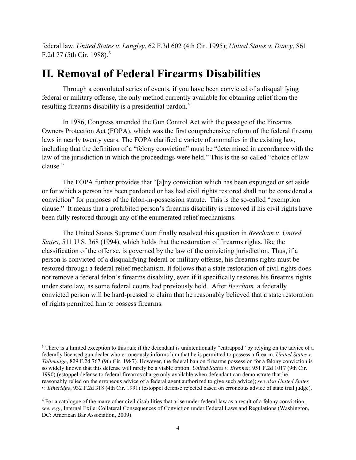federal law. *United States v. Langley*, 62 F.3d 602 (4th Cir. 1995); *United States v. Dancy*, 861 F.2d 77 (5th Cir. 1988).[3](#page-3-0)

## **II. Removal of Federal Firearms Disabilities**

Through a convoluted series of events, if you have been convicted of a disqualifying federal or military offense, the only method currently available for obtaining relief from the resulting firearms disability is a presidential pardon.<sup>[4](#page-3-1)</sup>

In 1986, Congress amended the Gun Control Act with the passage of the Firearms Owners Protection Act (FOPA), which was the first comprehensive reform of the federal firearm laws in nearly twenty years. The FOPA clarified a variety of anomalies in the existing law, including that the definition of a "felony conviction" must be "determined in accordance with the law of the jurisdiction in which the proceedings were held." This is the so-called "choice of law clause."

The FOPA further provides that "[a]ny conviction which has been expunged or set aside or for which a person has been pardoned or has had civil rights restored shall not be considered a conviction" for purposes of the felon-in-possession statute. This is the so-called "exemption clause." It means that a prohibited person's firearms disability is removed if his civil rights have been fully restored through any of the enumerated relief mechanisms.

The United States Supreme Court finally resolved this question in *Beecham v. United States*, 511 U.S. 368 (1994), which holds that the restoration of firearms rights, like the classification of the offense, is governed by the law of the convicting jurisdiction. Thus, if a person is convicted of a disqualifying federal or military offense, his firearms rights must be restored through a federal relief mechanism. It follows that a state restoration of civil rights does not remove a federal felon's firearms disability, even if it specifically restores his firearms rights under state law, as some federal courts had previously held. After *Beecham*, a federally convicted person will be hard-pressed to claim that he reasonably believed that a state restoration of rights permitted him to possess firearms.

<span id="page-3-0"></span><sup>&</sup>lt;sup>3</sup> There is a limited exception to this rule if the defendant is unintentionally "entrapped" by relying on the advice of a federally licensed gun dealer who erroneously informs him that he is permitted to possess a firearm. *United States v. Tallmadge*, 829 F.2d 767 (9th Cir. 1987). However, the federal ban on firearms possession for a felony conviction is so widely known that this defense will rarely be a viable option. *United States v. Brebner*, 951 F.2d 1017 (9th Cir. 1990) (estoppel defense to federal firearms charge only available when defendant can demonstrate that he reasonably relied on the erroneous advice of a federal agent authorized to give such advice); *see also United States v. Etheridge*, 932 F.2d 318 (4th Cir. 1991) (estoppel defense rejected based on erroneous advice of state trial judge).

<span id="page-3-1"></span><sup>4</sup> For a catalogue of the many other civil disabilities that arise under federal law as a result of a felony conviction, *see*, *e.g.*, Internal Exile: Collateral Consequences of Conviction under Federal Laws and Regulations (Washington, DC: American Bar Association, 2009).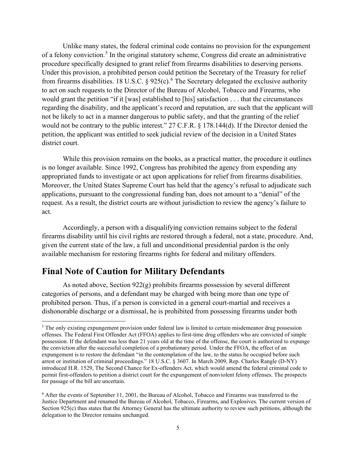Unlike many states, the federal criminal code contains no provision for the expungement of a felony conviction.<sup>[5](#page-4-0)</sup> In the original statutory scheme, Congress did create an administrative procedure specifically designed to grant relief from firearms disabilities to deserving persons. Under this provision, a prohibited person could petition the Secretary of the Treasury for relief from firearms disabilities. 18 U.S.C. § 925(c).<sup>[6](#page-4-1)</sup> The Secretary delegated the exclusive authority to act on such requests to the Director of the Bureau of Alcohol, Tobacco and Firearms, who would grant the petition "if it [was] established to [his] satisfaction . . . that the circumstances regarding the disability, and the applicant's record and reputation, are such that the applicant will not be likely to act in a manner dangerous to public safety, and that the granting of the relief would not be contrary to the public interest." 27 C.F.R. § 178.144(d). If the Director denied the petition, the applicant was entitled to seek judicial review of the decision in a United States district court.

While this provision remains on the books, as a practical matter, the procedure it outlines is no longer available. Since 1992, Congress has prohibited the agency from expending any appropriated funds to investigate or act upon applications for relief from firearms disabilities. Moreover, the United States Supreme Court has held that the agency's refusal to adjudicate such applications, pursuant to the congressional funding ban, does not amount to a "denial" of the request. As a result, the district courts are without jurisdiction to review the agency's failure to act.

Accordingly, a person with a disqualifying conviction remains subject to the federal firearms disability until his civil rights are restored through a federal, not a state, procedure. And, given the current state of the law, a full and unconditional presidential pardon is the only available mechanism for restoring firearms rights for federal and military offenders.

### **Final Note of Caution for Military Defendants**

As noted above, Section 922(g) prohibits firearms possession by several different categories of persons, and a defendant may be charged with being more than one type of prohibited person. Thus, if a person is convicted in a general court-martial and receives a dishonorable discharge or a dismissal, he is prohibited from possessing firearms under both

<span id="page-4-0"></span><sup>&</sup>lt;sup>5</sup> The only existing expungement provision under federal law is limited to certain misdemeanor drug possession offenses. The Federal First Offender Act (FFOA) applies to first-time drug offenders who are convicted of simple possession. If the defendant was less than 21 years old at the time of the offense, the court is authorized to expunge the conviction after the successful completion of a probationary period. Under the FFOA, the effect of an expungement is to restore the defendant "in the contemplation of the law, to the status he occupied before such arrest or institution of criminal proceedings." 18 U.S.C. § 3607. In March 2009, Rep. Charles Rangle (D-NY) introduced H.R. 1529, The Second Chance for Ex-offenders Act, which would amend the federal criminal code to permit first-offenders to petition a district court for the expungement of nonviolent felony offenses. The prospects for passage of the bill are uncertain.

<span id="page-4-1"></span><sup>6</sup> After the events of September 11, 2001, the Bureau of Alcohol, Tobacco and Firearms was transferred to the Justice Department and renamed the Bureau of Alcohol, Tobacco, Firearms, and Explosives. The current version of Section 925(c) thus states that the Attorney General has the ultimate authority to review such petitions, although the delegation to the Director remains unchanged.